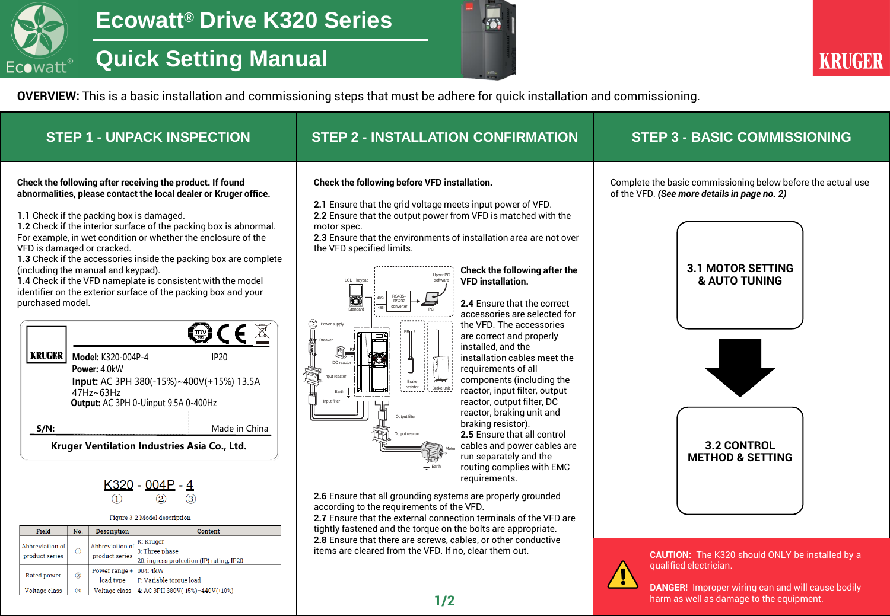

# **Quick Setting Manual**



harm as well as damage to the equipment.

**OVERVIEW:** This is a basic installation and commissioning steps that must be adhere for quick installation and commissioning.